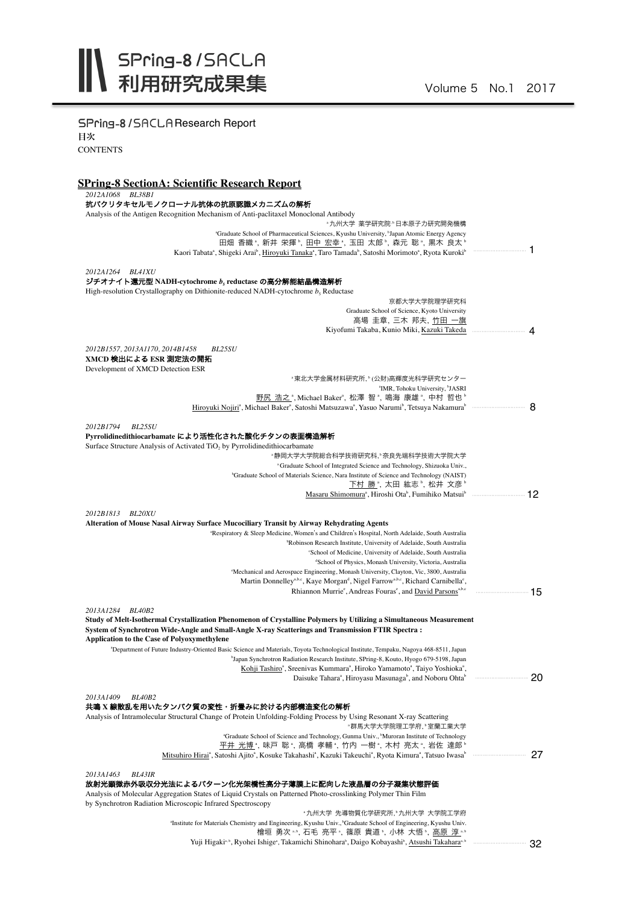SPring-8/SACLAResearch Report 目次 **CONTENTS** 

## **SPring-8 SectionA: Scientific Research Report**

*2012A1068 BL38B1*

| 2012A1068 BL38B1<br>抗パクリタキセルモノクローナル抗体の抗原認識メカニズムの解析                                                                                                                                                                    |                           |
|-----------------------------------------------------------------------------------------------------------------------------------------------------------------------------------------------------------------------|---------------------------|
| Analysis of the Antigen Recognition Mechanism of Anti-paclitaxel Monoclonal Antibody                                                                                                                                  |                           |
| "九州大学 薬学研究院"日本原子力研究開発機構<br>"Graduate School of Pharmaceutical Sciences, Kyushu University, "Japan Atomic Energy Agency                                                                                                |                           |
| 田畑 香織 ゚, 新井 栄揮 ゚, <u>田中 宏幸 ゚,</u> 玉田 太郎 ゚, 森元 聡 ゚, 黒木 良太 ゚                                                                                                                                                            |                           |
| Kaori Tabata <sup>a</sup> , Shigeki Arai <sup>b</sup> , Hiroyuki Tanaka <sup>a</sup> , Taro Tamada <sup>b</sup> , Satoshi Morimoto <sup>a</sup> , Ryota Kuroki <sup>b</sup>                                           | 1                         |
|                                                                                                                                                                                                                       |                           |
| 2012A1264 BL41XU<br>ジチオナイト還元型 NADH-cytochrome b, reductase の高分解能結晶構造解析                                                                                                                                                |                           |
| High-resolution Crystallography on Dithionite-reduced NADH-cytochrome $b5$ Reductase                                                                                                                                  |                           |
| 京都大学大学院理学研究科                                                                                                                                                                                                          |                           |
| Graduate School of Science, Kyoto University                                                                                                                                                                          |                           |
| 高場 圭章、三木 邦夫、竹田 一旗                                                                                                                                                                                                     |                           |
|                                                                                                                                                                                                                       |                           |
| 2012B1557, 2013A1170, 2014B1458<br><i>BL25SU</i>                                                                                                                                                                      |                           |
| XMCD 検出による ESR 測定法の開拓                                                                                                                                                                                                 |                           |
| Development of XMCD Detection ESR<br>"東北大学金属材料研究所," (公財)高輝度光科学研究センター                                                                                                                                                  |                           |
| <sup>a</sup> IMR, Tohoku University, <sup>b</sup> JASRI                                                                                                                                                               |                           |
| 野尻 浩之*,MichaelBaker*, 松澤 智*, 鳴海 康雄*, 中村 哲也*                                                                                                                                                                           |                           |
|                                                                                                                                                                                                                       |                           |
| 2012B1794<br><b>BL25SU</b>                                                                                                                                                                                            |                           |
| Pvrrolidinedithiocarbamate により活性化された酸化チタンの表面構造解析                                                                                                                                                                      |                           |
| Surface Structure Analysis of Activated TiO, by Pyrrolidinedithiocarbamate                                                                                                                                            |                           |
| "静岡大学大学院総合科学技術研究科,"奈良先端科学技術大学院大学                                                                                                                                                                                      |                           |
| <sup>a</sup> Graduate School of Integrated Science and Technology, Shizuoka Univ.,                                                                                                                                    |                           |
| <sup>b</sup> Graduate School of Materials Science, Nara Institute of Science and Technology (NAIST)<br>下村 勝*, 太田 紘志 , 松井 文彦 。                                                                                         |                           |
| Masaru Shimomura <sup>a</sup> , Hiroshi Ota <sup>b</sup> , Fumihiko Matsuib mww. mww. 12                                                                                                                              |                           |
|                                                                                                                                                                                                                       |                           |
| 2012B1813<br><i>BL20XU</i><br>Alteration of Mouse Nasal Airway Surface Mucociliary Transit by Airway Rehydrating Agents                                                                                               |                           |
| "Respiratory & Sleep Medicine, Women's and Children's Hospital, North Adelaide, South Australia                                                                                                                       |                           |
| <sup>b</sup> Robinson Research Institute, University of Adelaide, South Australia                                                                                                                                     |                           |
| 'School of Medicine, University of Adelaide, South Australia                                                                                                                                                          |                           |
| <sup>d</sup> School of Physics, Monash University, Victoria, Australia<br><sup>e</sup> Mechanical and Aerospace Engineering, Monash University, Clayton, Vic, 3800, Australia                                         |                           |
| Martin Donnelley <sup>a,b,c</sup> , Kaye Morgan <sup>d</sup> , Nigel Farrow <sup>a,b,c</sup> , Richard Carnibella <sup>e</sup> ,                                                                                      |                           |
| Rhiannon Murrie <sup>e</sup> , Andreas Fouras <sup>e</sup> , and David Parsons <sup>a,b,c</sup>                                                                                                                       | ······················ 15 |
|                                                                                                                                                                                                                       |                           |
| 2013A1284<br><b>BL40B2</b><br>Study of Melt-Isothermal Crystallization Phenomenon of Crystalline Polymers by Utilizing a Simultaneous Measurement                                                                     |                           |
| : System of Synchrotron Wide-Angle and Small-Angle X-ray Scatterings and Transmission FTIR Spectra                                                                                                                    |                           |
| Application to the Case of Polyoxymethylene                                                                                                                                                                           |                           |
| "Department of Future Industry-Oriented Basic Science and Materials, Toyota Technological Institute, Tempaku, Nagoya 468-8511, Japan                                                                                  |                           |
| "Japan Synchrotron Radiation Research Institute, SPring-8, Kouto, Hyogo 679-5198, Japan<br>Kohji Tashiro <sup>a</sup> , Sreenivas Kummara <sup>a</sup> , Hiroko Yamamoto <sup>a</sup> , Taiyo Yoshioka <sup>a</sup> , |                           |
| Daisuke Tahara <sup>*</sup> , Hiroyasu Masunaga <sup>°</sup> , and Noboru Ohta <sup>°</sup>                                                                                                                           | 20                        |
|                                                                                                                                                                                                                       |                           |
| 2013A1409<br><b>BL40B2</b>                                                                                                                                                                                            |                           |
| 共鳴 X 線散乱を用いたタンパク質の変性・折畳みに於ける内部構造変化の解析                                                                                                                                                                                 |                           |
| Analysis of Intramolecular Structural Change of Protein Unfolding-Folding Process by Using Resonant X-ray Scattering<br>*群馬大学大学院理工学府,*室蘭工業大学                                                                          |                           |
| <sup>a</sup> Graduate School of Science and Technology, Gunma Univ., Muroran Institute of Technology                                                                                                                  |                           |
| 平井 光博*,味戸 聡*,高橋 孝輔*,竹内 一樹*,木村 亮太*,岩佐 達郎*                                                                                                                                                                              |                           |
| Mitsuhiro Hirai <sup>a</sup> , Satoshi Ajito <sup>a</sup> , Kosuke Takahashi <sup>a</sup> , Kazuki Takeuchi <sup>a</sup> , Ryota Kimura <sup>a</sup> , Tatsuo Iwasa <sup>b</sup>                                      |                           |
| 2013A1463<br><b>BL43IR</b>                                                                                                                                                                                            |                           |
| 放射光顕微赤外吸収分光法によるパターン化光架橋性高分子薄膜上に配向した液晶層の分子凝集状態評価                                                                                                                                                                       |                           |
| Analysis of Molecular Aggregation States of Liquid Crystals on Patterned Photo-crosslinking Polymer Thin Film                                                                                                         |                           |
| by Synchrotron Radiation Microscopic Infrared Spectroscopy<br>"九州大学 先導物質化学研究所,"九州大学 大学院工学府                                                                                                                            |                           |
| "Institute for Materials Chemistry and Engineering, Kyushu Univ., "Graduate School of Engineering, Kyushu Univ.                                                                                                       |                           |
| 吉亚、竹庄 中光<br>$\mathbb{Z}$ $\rightarrow$ $\rightarrow$                                                                                                                                                                  |                           |

檜垣 勇次 …, 石毛 亮平 ,篠原 貴道 ,小林 大悟 ,<u>高原 淳 …</u>… Yuji Higaki<sup>a, b</sup>, Ryohei Ishige<sup>a</sup>, Takamichi Shinohara<sup>b</sup>, Daigo Kobayashi<sup>b</sup>, <u>Atsushi Takahara<sup>a, b</sup>eaman saman sa sa 3</u>2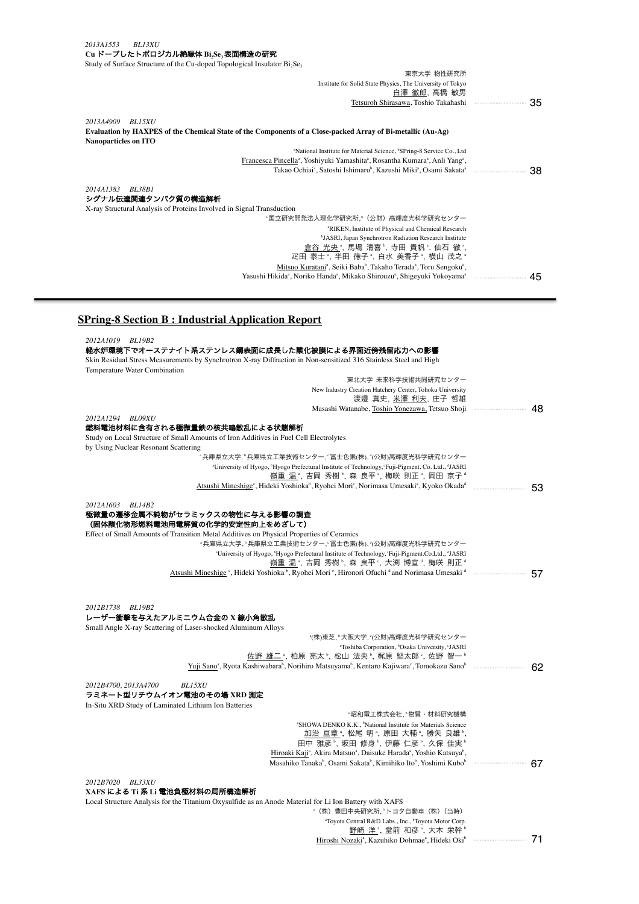*2013A1553 BL13XU* **Cu** ドープしたトポロジカル絶縁体 **Bi2Se3**表面構造の研究 Study of Surface Structure of the Cu-doped Topological Insulator  $Bi_2Se_3$ 

| 東京大学 物性研究所<br>Institute for Solid State Physics, The University of Tokyo                                                                   |     |
|--------------------------------------------------------------------------------------------------------------------------------------------|-----|
| 白澤 徹郎、高橋 敏男                                                                                                                                |     |
| Tetsuroh Shirasawa, Toshio Takahashi mammuun muun 35                                                                                       |     |
|                                                                                                                                            |     |
| 2013A4909<br><b>BL15XU</b>                                                                                                                 |     |
| Evaluation by HAXPES of the Chemical State of the Components of a Close-packed Array of Bi-metallic (Au-Ag)<br><b>Nanoparticles on ITO</b> |     |
| <sup>a</sup> National Institute for Material Science, <sup>b</sup> SPring-8 Service Co., Ltd                                               |     |
| Francesca Pincella <sup>a</sup> , Yoshiyuki Yamashita <sup>a</sup> , Rosantha Kumara <sup>a</sup> , Anli Yang <sup>a</sup> ,               |     |
|                                                                                                                                            | -38 |
| 2014A1383<br><b>BL38B1</b><br>シグナル伝達関連タンパク質の構造解析<br>X-ray Structural Analysis of Proteins Involved in Signal Transduction                  |     |
| *国立研究開発法人理化学研究所.ʰ(公財)高輝度光科学研究センター                                                                                                          |     |
| <sup>a</sup> RIKEN, Institute of Physical and Chemical Research                                                                            |     |
| <sup>b</sup> JASRI, Japan Synchrotron Radiation Research Institute                                                                         |     |
| 倉谷 光央 ",馬場 清喜 ",寺田 貴帆 ",仙石 徹 ",                                                                                                            |     |
| 疋田 泰士 ". 半田 徳子 ", 白水 美香子 ", 横山 茂之 "                                                                                                        |     |
| Mitsuo Kuratani <sup>a</sup> , Seiki Baba <sup>b</sup> , Takaho Terada <sup>a</sup> , Toru Sengoku <sup>a</sup> ,                          |     |
|                                                                                                                                            | -45 |
|                                                                                                                                            |     |

## **SPring-8 Section B : Industrial Application Report**

| 2012A1019 BL19B2                                                                                                  |                                                                                                                                                           |        |
|-------------------------------------------------------------------------------------------------------------------|-----------------------------------------------------------------------------------------------------------------------------------------------------------|--------|
| 軽水炉環境下でオーステナイト系ステンレス鋼表面に成長した酸化被膜による界面近傍残留応力への影響                                                                   |                                                                                                                                                           |        |
| Skin Residual Stress Measurements by Synchrotron X-ray Diffraction in Non-sensitized 316 Stainless Steel and High |                                                                                                                                                           |        |
| Temperature Water Combination                                                                                     |                                                                                                                                                           |        |
|                                                                                                                   | 東北大学 未来科学技術共同研究センター                                                                                                                                       |        |
|                                                                                                                   | New Industry Creation Hatchery Center, Tohoku University<br>渡邉 真史, 米澤 利夫, 庄子 哲雄                                                                           |        |
|                                                                                                                   | Masashi Watanabe, Toshio Yonezawa, Tetsuo Shoji                                                                                                           | 48     |
| 2012A1294 BL09XU                                                                                                  |                                                                                                                                                           |        |
| 燃料電池材料に含有される極微量鉄の核共鳴散乱による状態解析                                                                                     |                                                                                                                                                           |        |
| Study on Local Structure of Small Amounts of Iron Additives in Fuel Cell Electrolytes                             |                                                                                                                                                           |        |
| by Using Nuclear Resonant Scattering                                                                              |                                                                                                                                                           |        |
|                                                                                                                   | "兵庫県立大学, "兵庫県立工業技術センター, '冨士色素(株), "(公財)高輝度光科学研究センター                                                                                                       |        |
|                                                                                                                   | "University of Hyogo, "Hyogo Prefectural Institute of Technology, 'Fuji-Pigment. Co. Ltd., "JASRI"<br>嶺重 温 ゚, 吉岡 秀樹 ゚, 森 良平 ゚, 梅咲 則正 ゚, 岡田 京子 ゚           |        |
|                                                                                                                   | Atsushi Mineshige <sup>a</sup> , Hideki Yoshioka <sup>b</sup> , Ryohei Mori <sup>c</sup> , Norimasa Umesaki <sup>a</sup> , Kyoko Okada <sup>d</sup>       | 53     |
| 2012A1603 BL14B2                                                                                                  |                                                                                                                                                           |        |
| 極微量の遷移金属不純物がセラミックスの物性に与える影響の調査                                                                                    |                                                                                                                                                           |        |
| (固体酸化物形燃料電池用電解質の化学的安定性向上をめざして)                                                                                    |                                                                                                                                                           |        |
| Effect of Small Amounts of Transition Metal Additives on Physical Properties of Ceramics                          |                                                                                                                                                           |        |
|                                                                                                                   | "兵庫県立大学, "兵庫県立工業技術センター, '冨士色素(株), "(公財)高輝度光科学研究センター                                                                                                       |        |
|                                                                                                                   | <sup>a</sup> University of Hyogo, <sup>b</sup> Hyogo Prefectural Institute of Technology, 'Fuji-Pigment.Co.Ltd., dJASRI                                   |        |
|                                                                                                                   | 嶺重 温*, 吉岡 秀樹*, 森 良平*, 大渕 博宣*, 梅咲 則正*                                                                                                                      |        |
|                                                                                                                   | Atsushi Mineshige <sup>a</sup> , Hideki Yoshioka <sup>b</sup> , Ryohei Mori <sup>c</sup> , Hironori Ofuchi <sup>d</sup> and Norimasa Umesaki <sup>d</sup> |        |
| 2012B1738 BL19B2<br>レーザー衝撃を与えたアルミニウム合金の X 線小角散乱                                                                   |                                                                                                                                                           |        |
| Small Angle X-ray Scattering of Laser-shocked Aluminum Alloys                                                     |                                                                                                                                                           |        |
|                                                                                                                   | *(株)東芝, ゚大阪大学, ゚(公財)高輝度光科学研究センター                                                                                                                          |        |
|                                                                                                                   | "Toshiba Corporation, <sup>b</sup> Osaka University, 'JASRI                                                                                               |        |
|                                                                                                                   | 佐野 雄二 ª, 柏原 亮太 ª, 松山 法央 ª, 梶原 堅太郎 º, 佐野 智一 ª                                                                                                              |        |
|                                                                                                                   | Yuji Sano <sup>a</sup> , Ryota Kashiwabara <sup>b</sup> , Norihiro Matsuyama <sup>b</sup> , Kentaro Kajiwara <sup>c</sup> , Tomokazu Sano <sup>b</sup>    | <br>62 |
| 2012B4700, 2013A4700<br><b>BL15XU</b>                                                                             |                                                                                                                                                           |        |
| ラミネート型リチウムイオン電池のその場 XRD 測定                                                                                        |                                                                                                                                                           |        |
| In-Situ XRD Study of Laminated Lithium Ion Batteries                                                              |                                                                                                                                                           |        |
|                                                                                                                   | "昭和電工株式会社、"物質・材料研究機構                                                                                                                                      |        |
|                                                                                                                   | "SHOWA DENKO K.K., "National Institute for Materials Science                                                                                              |        |
|                                                                                                                   | <u>加治 亘章ª,</u> 松尾 明ª, 原田 大輔ª, 勝矢 良雄º                                                                                                                      |        |
|                                                                                                                   | 田中 雅彦 ఏ, 坂田 修身 ఏ, 伊藤 仁彦 ఏ, 久保 佳実 Ь                                                                                                                        |        |
|                                                                                                                   | Hiroaki Kaji <sup>a</sup> , Akira Matsuo <sup>a</sup> , Daisuke Harada <sup>a</sup> , Yoshio Katsuya <sup>b</sup> ,                                       |        |
|                                                                                                                   | Masahiko Tanaka <sup>b</sup> , Osami Sakata <sup>b</sup> , Kimihiko Ito <sup>b</sup> , Yoshimi Kubo <sup>b</sup>                                          |        |
| 2012B7020 BL33XU                                                                                                  |                                                                                                                                                           |        |
| XAFS による Ti 系 Li 電池負極材料の局所構造解析                                                                                    |                                                                                                                                                           |        |
| Local Structure Analysis for the Titanium Oxysulfide as an Anode Material for Li Ion Battery with XAFS            | "(株)豊田中央研究所, "トヨタ自動車(株)(当時)                                                                                                                               |        |
|                                                                                                                   | "Toyota Central R&D Labs., Inc., "Toyota Motor Corp.                                                                                                      |        |
|                                                                                                                   | 野崎 洋", 堂前 和彦", 大木 栄幹"                                                                                                                                     |        |
|                                                                                                                   | Hiroshi Nozaki <sup>a</sup> , Kazuhiko Dohmae <sup>a</sup> , Hideki Oki <sup>b</sup> ----------------------------- 71                                     |        |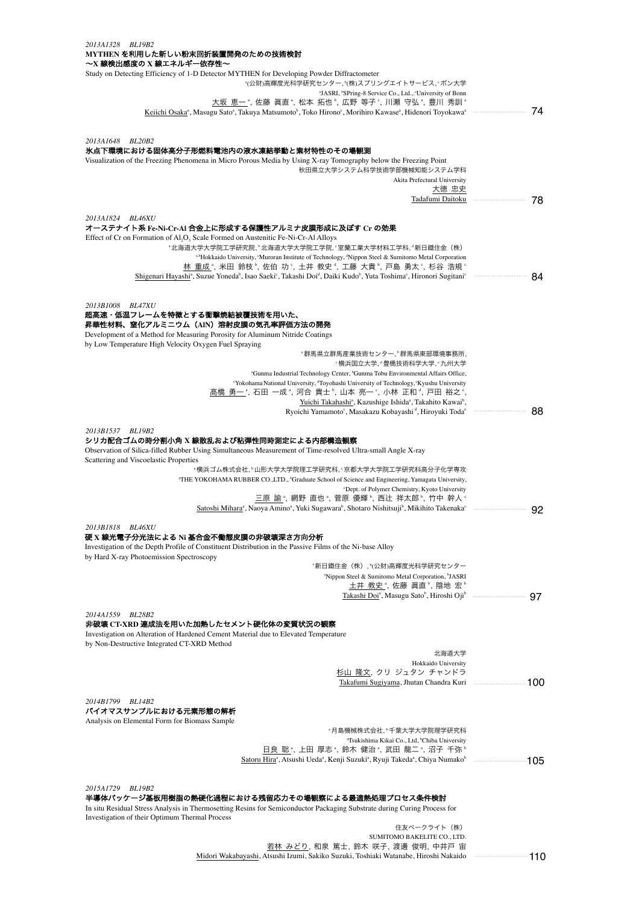## *2013A1328 BL19B2* **MYTHEN** を利用した新しい粉末回折装置開発のための技術検討

| MYTHEN を利用した新しい粉末回折装置開発のための技術検討<br>~X 線検出感度の X 線エネルギー依存性~                                                                                                                                              |    |
|--------------------------------------------------------------------------------------------------------------------------------------------------------------------------------------------------------|----|
| Study on Detecting Efficiency of 1-D Detector MYTHEN for Developing Powder Diffractometer                                                                                                              |    |
| *(公財)高輝度光科学研究センター, *(株)スプリングエイトサービス, *ボン大学                                                                                                                                                             |    |
| <sup>a</sup> JASRI, <sup>b</sup> SPring-8 Service Co., Ltd., <sup>c</sup> University of Bonn                                                                                                           |    |
| 大坂 恵一 ゚, 佐藤 眞直 ゚, 松本 拓也 ゚, 広野 等子 ゚, 川瀬 守弘 ゚, 豊川 秀訓 ゚                                                                                                                                                   |    |
| Keiichi Osaka <sup>a</sup> , Masugu Sato <sup>a</sup> , Takuya Matsumoto <sup>b</sup> , Toko Hirono <sup>c</sup> , Morihiro Kawase <sup>a</sup> , Hidenori Toyokawa <sup>a</sup>                       |    |
|                                                                                                                                                                                                        |    |
| 2013A1648 BL20B2<br>氷点下環境における固体高分子形燃料電池内の液水凍結挙動と素材特性のその場観測                                                                                                                                             |    |
| Visualization of the Freezing Phenomena in Micro Porous Media by Using X-ray Tomography below the Freezing Point                                                                                       |    |
| 秋田県立大学システム科学技術学部機械知能システム学科                                                                                                                                                                             |    |
| Akita Prefectural University                                                                                                                                                                           |    |
| 大徳 忠史                                                                                                                                                                                                  |    |
|                                                                                                                                                                                                        | 78 |
| 2013A1824 BL46XU                                                                                                                                                                                       |    |
| オーステナイト系 Fe-Ni-Cr-Al 合金上に形成する保護性アルミナ皮膜形成に及ぼす Cr の効果                                                                                                                                                    |    |
| Effect of Cr on Formation of Al <sub>2</sub> O <sub>3</sub> Scale Formed on Austenitic Fe-Ni-Cr-Al Alloys                                                                                              |    |
| "北海道大学大学院工学研究院, "北海道大学大学院工学院, '室蘭工業大学材料工学科, '新日鐵住金(株)                                                                                                                                                  |    |
| a,bHokkaido University, 'Muroran Institute of Technology, <sup>d</sup> Nippon Steel & Sumitomo Metal Corporation                                                                                       |    |
| 林 重成 ", 米田 鈴枝 ", 佐伯 功 ", 土井 教史 ", 工藤 大貴 ", 戸島 勇太 ", 杉谷 浩規 "                                                                                                                                            | 84 |
| Shigenari Hayashi <sup>a</sup> , Suzue Yoneda <sup>b</sup> , Isao Saeki <sup>c</sup> , Takashi Doi <sup>d</sup> , Daiki Kudo <sup>b</sup> , Yuta Toshima <sup>c</sup> , Hironori Sugitani <sup>c</sup> |    |
|                                                                                                                                                                                                        |    |
| 2013B1008<br><i>BLA7XU</i>                                                                                                                                                                             |    |
| 超高速・低温フレームを特徴とする衝撃焼結被覆技術を用いた、                                                                                                                                                                          |    |
| 昇華性材料、窒化アルミニウム(AIN)溶射皮膜の気孔率評価方法の開発<br>Development of a Method for Measuring Porosity for Aluminum Nitride Coatings                                                                                     |    |
| by Low Temperature High Velocity Oxygen Fuel Spraying                                                                                                                                                  |    |
| *群馬県立群馬産業技術センター、*群馬県東部環境事務所、                                                                                                                                                                           |    |
| "横浜国立大学,"豊橋技術科学大学,"九州大学                                                                                                                                                                                |    |
| "Gunma Industrial Technology Center, "Gunma Tobu Environmental Affairs Office,                                                                                                                         |    |
| "Yokohama National University, "Toyohashi University of Technology, "Kyushu University                                                                                                                 |    |
| 髙橋 勇一 ª, 石田 一成 ª, 河合 貴士 º, 山本 亮一 º, 小林 正和 ª, 戸田 裕之 º,<br>Yuichi Takahashi <sup>ª</sup> , Kazushige Ishida <sup>ª</sup> , Takahito Kawai <sup>°</sup> ,                                                 |    |
| Ryoichi Yamamoto°, Masakazu Kobayashi <sup>a</sup> , Hiroyuki Toda <sup>e</sup>                                                                                                                        | 88 |
|                                                                                                                                                                                                        |    |
| 2013B1537 BL19B2                                                                                                                                                                                       |    |
| シリカ配合ゴムの時分割小角 X 線散乱および粘弾性同時測定による内部構造観察                                                                                                                                                                 |    |
| Observation of Silica-filled Rubber Using Simultaneous Measurement of Time-resolved Ultra-small Angle X-ray                                                                                            |    |
| Scattering and Viscoelastic Properties<br>"横浜ゴム株式会社,"山形大学大学院理工学研究科,"京都大学大学院工学研究科高分子化学専攻                                                                                                                |    |
| "THE YOKOHAMA RUBBER CO.,LTD., <sup>b</sup> Graduate School of Science and Engineering, Yamagata University,                                                                                           |    |
| <sup>c</sup> Dept. of Polymer Chemistry, Kyoto University                                                                                                                                              |    |
| 三原 諭", 網野 直也", 菅原 優輝", 西辻 祥太郎", 竹中 幹人°                                                                                                                                                                 |    |
|                                                                                                                                                                                                        | 92 |
| 2013B1818 BL46XU                                                                                                                                                                                       |    |
| 硬 X 線光電子分光法による Ni 基合金不働態皮膜の非破壊深さ方向分析                                                                                                                                                                   |    |
| Investigation of the Depth Profile of Constituent Distribution in the Passive Films of the Ni-base Alloy                                                                                               |    |
| by Hard X-ray Photoemission Spectroscopy                                                                                                                                                               |    |
| "新日鐵住金(株),"(公財)高輝度光科学研究センター                                                                                                                                                                            |    |
| "Nippon Steel & Sumitomo Metal Corporation, "JASRI                                                                                                                                                     |    |
| 土井 教史 *, 佐藤 眞直 *, 陰地 宏 *<br>Takashi Doi <sup>ª</sup> , Masugu Sato <sup>b</sup> , Hiroshi Oji <sup>b</sup>                                                                                             |    |
|                                                                                                                                                                                                        |    |
| 2014A1559 BL28B2                                                                                                                                                                                       |    |
| 非破壊 CT-XRD 連成法を用いた加熱したセメント硬化体の変質状況の観察                                                                                                                                                                  |    |
| Investigation on Alteration of Hardened Cement Material due to Elevated Temperature                                                                                                                    |    |
| by Non-Destructive Integrated CT-XRD Method                                                                                                                                                            |    |
| 北海道大学<br>Hokkaido University                                                                                                                                                                           |    |
| 杉山 隆文, クリ ジュタン チャンドラ                                                                                                                                                                                   |    |
|                                                                                                                                                                                                        |    |
|                                                                                                                                                                                                        |    |
| 2014B1799 BL14B2                                                                                                                                                                                       |    |
| バイオマスサンプルにおける元素形態の解析<br>Analysis on Elemental Form for Biomass Sample                                                                                                                                  |    |
| "月島機械株式会社, "千葉大学大学院理学研究科                                                                                                                                                                               |    |
| "Tsukishima Kikai Co., Ltd, <sup>b</sup> Chiba University                                                                                                                                              |    |
| 日良 聡*, 上田 厚志*, 鈴木 健治*, 武田 龍二*, 沼子 千弥*                                                                                                                                                                  |    |
| Satoru Hira <sup>ª</sup> , Atsushi Ueda <sup>ª</sup> , Kenji Suzuki <sup>ª</sup> , Ryuji Takeda <sup>ª</sup> , Chiya Numako <sup>b</sup>                                                               |    |
|                                                                                                                                                                                                        |    |
| 2015A1729<br>BL19B2                                                                                                                                                                                    |    |
| 半導体パッケージ基板用樹脂の熱硬化過程における残留応力その場観察による最適熱処理プロセス条件検討                                                                                                                                                       |    |
| In situ Residual Stress Analysis in Thermosetting Resins for Semiconductor Packaging Substrate during Curing Process for                                                                               |    |
| Investigation of their Optimum Thermal Process                                                                                                                                                         |    |
| 住友ベークライト(株)                                                                                                                                                                                            |    |

SUMITOMO BAKELITE CO.,LTD.<br><u>若林 みどり</u>, 和泉 篤士, 鈴木 咲子, 渡邊 俊明, 中井戸 宙 Midori Wakabayashi, Atsushi Izumi, Sakiko Suzuki, Toshiaki Watanabe, Hiroshi Nakaido ・・・・・・・・・・・・・・・・・・・・・・・・・・・・・・・・・ 110